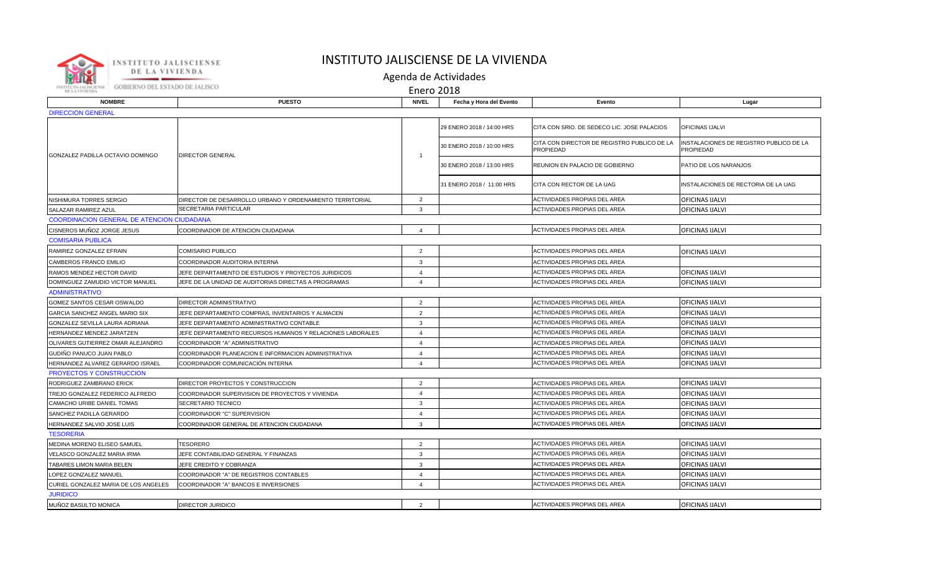

## INSTITUTO JALISCIENSE DE LA VIVIENDA

Agenda de Actividades

Enero 2018

| <b>NOMBRE</b>                                     | <b>PUESTO</b>                                             | <b>NIVEL</b>   | Fecha y Hora del Evento   | Evento                                                          | Lugar                                                |  |  |  |
|---------------------------------------------------|-----------------------------------------------------------|----------------|---------------------------|-----------------------------------------------------------------|------------------------------------------------------|--|--|--|
| <b>DIRECCION GENERAL</b>                          |                                                           |                |                           |                                                                 |                                                      |  |  |  |
| GONZALEZ PADILLA OCTAVIO DOMINGO                  | <b>DIRECTOR GENERAL</b>                                   | $\mathbf{1}$   | 29 ENERO 2018 / 14:00 HRS | CITA CON SRIO. DE SEDECO LIC. JOSE PALACIOS                     | <b>OFICINAS IJALVI</b>                               |  |  |  |
|                                                   |                                                           |                | 30 ENERO 2018 / 10:00 HRS | CITA CON DIRECTOR DE REGISTRO PUBLICO DE LA<br><b>PROPIEDAD</b> | INSTALACIONES DE REGISTRO PUBLICO DE LA<br>PROPIEDAD |  |  |  |
|                                                   |                                                           |                | 30 ENERO 2018 / 13:00 HRS | REUNION EN PALACIO DE GOBIERNO                                  | PATIO DE LOS NARANJOS                                |  |  |  |
|                                                   |                                                           |                | 31 ENERO 2018 / 11:00 HRS | CITA CON RECTOR DE LA UAG                                       | INSTALACIONES DE RECTORIA DE LA UAG                  |  |  |  |
| NISHIMURA TORRES SERGIO                           | DIRECTOR DE DESARROLLO URBANO Y ORDENAMIENTO TERRITORIAL  | $\overline{2}$ |                           | ACTIVIDADES PROPIAS DEL AREA                                    | <b>OFICINAS IJALVI</b>                               |  |  |  |
| SALAZAR RAMIREZ AZUL                              | SECRETARIA PARTICULAR                                     | 3              |                           | ACTIVIDADES PROPIAS DEL AREA                                    | OFICINAS IJALVI                                      |  |  |  |
| <b>COORDINACION GENERAL DE ATENCION CIUDADANA</b> |                                                           |                |                           |                                                                 |                                                      |  |  |  |
| CISNEROS MUÑOZ JORGE JESUS                        | COORDINADOR DE ATENCION CIUDADANA                         | $\overline{4}$ |                           | ACTIVIDADES PROPIAS DEL AREA                                    | OFICINAS IJALVI                                      |  |  |  |
| <b>COMISARIA PUBLICA</b>                          |                                                           |                |                           |                                                                 |                                                      |  |  |  |
| RAMIREZ GONZALEZ EFRAIN                           | COMISARIO PUBLICO                                         | $\overline{2}$ |                           | ACTIVIDADES PROPIAS DEL AREA                                    | OFICINAS IJALVI                                      |  |  |  |
| CAMBEROS FRANCO EMILIO                            | COORDINADOR AUDITORIA INTERNA                             | 3              |                           | ACTIVIDADES PROPIAS DEL AREA                                    |                                                      |  |  |  |
| RAMOS MENDEZ HECTOR DAVID                         | JEFE DEPARTAMENTO DE ESTUDIOS Y PROYECTOS JURIDICOS       | $\overline{4}$ |                           | <b>ACTIVIDADES PROPIAS DEL AREA</b>                             | OFICINAS IJALVI                                      |  |  |  |
| DOMINGUEZ ZAMUDIO VICTOR MANUEL                   | JEFE DE LA UNIDAD DE AUDITORIAS DIRECTAS A PROGRAMAS      | $\overline{4}$ |                           | ACTIVIDADES PROPIAS DEL AREA                                    | <b>OFICINAS IJALVI</b>                               |  |  |  |
| <b>ADMINISTRATIVO</b>                             |                                                           |                |                           |                                                                 |                                                      |  |  |  |
| GOMEZ SANTOS CESAR OSWALDO                        | DIRECTOR ADMINISTRATIVO                                   | $\overline{2}$ |                           | ACTIVIDADES PROPIAS DEL AREA                                    | <b>OFICINAS IJALVI</b>                               |  |  |  |
| GARCIA SANCHEZ ANGEL MARIO SIX                    | JEFE DEPARTAMENTO COMPRAS, INVENTARIOS Y ALMACEN          | $\overline{2}$ |                           | ACTIVIDADES PROPIAS DEL AREA                                    | <b>OFICINAS IJALVI</b>                               |  |  |  |
| GONZALEZ SEVILLA LAURA ADRIANA                    | JEFE DEPARTAMENTO ADMINISTRATIVO CONTABLE                 | 3              |                           | ACTIVIDADES PROPIAS DEL AREA                                    | OFICINAS IJALVI                                      |  |  |  |
| HERNANDEZ MENDEZ JARATZEN                         | JEFE DEPARTAMENTO RECURSOS HUMANOS Y RELACIONES LABORALES | $\overline{4}$ |                           | ACTIVIDADES PROPIAS DEL AREA                                    | OFICINAS IJALVI                                      |  |  |  |
| OLIVARES GUTIERREZ OMAR ALEJANDRO                 | COORDINADOR "A" ADMINISTRATIVO                            | $\overline{4}$ |                           | ACTIVIDADES PROPIAS DEL AREA                                    | <b>OFICINAS IJALVI</b>                               |  |  |  |
| GUDIÑO PANUCO JUAN PABLO                          | COORDINADOR PLANEACION E INFORMACION ADMINISTRATIVA       | $\overline{4}$ |                           | <b>ACTIVIDADES PROPIAS DEL AREA</b>                             | OFICINAS IJALVI                                      |  |  |  |
| HERNANDEZ ALVAREZ GERARDO ISRAEL                  | COORDINADOR COMUNICACIÓN INTERNA                          | $\overline{4}$ |                           | ACTIVIDADES PROPIAS DEL AREA                                    | <b>OFICINAS IJALVI</b>                               |  |  |  |
| PROYECTOS Y CONSTRUCCION                          |                                                           |                |                           |                                                                 |                                                      |  |  |  |
| RODRIGUEZ ZAMBRANO ERICK                          | <b>IDIRECTOR PROYECTOS Y CONSTRUCCION</b>                 | 2              |                           | <b>ACTIVIDADES PROPIAS DEL AREA</b>                             | <b>OFICINAS IJALVI</b>                               |  |  |  |
| TREJO GONZALEZ FEDERICO ALFREDO                   | COORDINADOR SUPERVISION DE PROYECTOS Y VIVIENDA           | $\overline{4}$ |                           | <b>ACTIVIDADES PROPIAS DEL AREA</b>                             | OFICINAS IJALVI                                      |  |  |  |
| CAMACHO URIBE DANIEL TOMAS                        | SECRETARIO TECNICO                                        | $\mathbf{3}$   |                           | ACTIVIDADES PROPIAS DEL AREA                                    | <b>OFICINAS IJALVI</b>                               |  |  |  |
| SANCHEZ PADILLA GERARDO                           | COORDINADOR "C" SUPERVISION                               | $\overline{4}$ |                           | ACTIVIDADES PROPIAS DEL AREA                                    | OFICINAS IJALVI                                      |  |  |  |
| HERNANDEZ SALVIO JOSE LUIS                        | COORDINADOR GENERAL DE ATENCION CIUDADANA                 | $\mathbf{3}$   |                           | ACTIVIDADES PROPIAS DEL AREA                                    | <b>OFICINAS IJALVI</b>                               |  |  |  |
| <b>TESORERIA</b>                                  |                                                           |                |                           |                                                                 |                                                      |  |  |  |
| MEDINA MORENO ELISEO SAMUEL                       | <b>TESORERO</b>                                           | $\overline{2}$ |                           | <b>ACTIVIDADES PROPIAS DEL AREA</b>                             | <b>OFICINAS IJALVI</b>                               |  |  |  |
| VELASCO GONZALEZ MARIA IRMA                       | JEFE CONTABILIDAD GENERAL Y FINANZAS                      | $\mathbf{3}$   |                           | ACTIVIDADES PROPIAS DEL AREA                                    | OFICINAS IJALVI                                      |  |  |  |
| TABARES LIMON MARIA BELEN                         | JEFE CREDITO Y COBRANZA                                   | 3              |                           | ACTIVIDADES PROPIAS DEL AREA                                    | OFICINAS IJALVI                                      |  |  |  |
| LOPEZ GONZALEZ MANUEL                             | COORDINADOR "A" DE REGISTROS CONTABLES                    | $\overline{4}$ |                           | <b>ACTIVIDADES PROPIAS DEL AREA</b>                             | OFICINAS IJALVI                                      |  |  |  |
| CURIEL GONZALEZ MARIA DE LOS ANGELES              | COORDINADOR "A" BANCOS E INVERSIONES                      | $\overline{4}$ |                           | <b>ACTIVIDADES PROPIAS DEL AREA</b>                             | OFICINAS IJALVI                                      |  |  |  |
| <b>JURIDICO</b>                                   |                                                           |                |                           |                                                                 |                                                      |  |  |  |
| MUÑOZ BASULTO MONICA                              | <b>DIRECTOR JURIDICO</b>                                  | 2              |                           | ACTIVIDADES PROPIAS DEL AREA                                    | <b>OFICINAS IJALVI</b>                               |  |  |  |